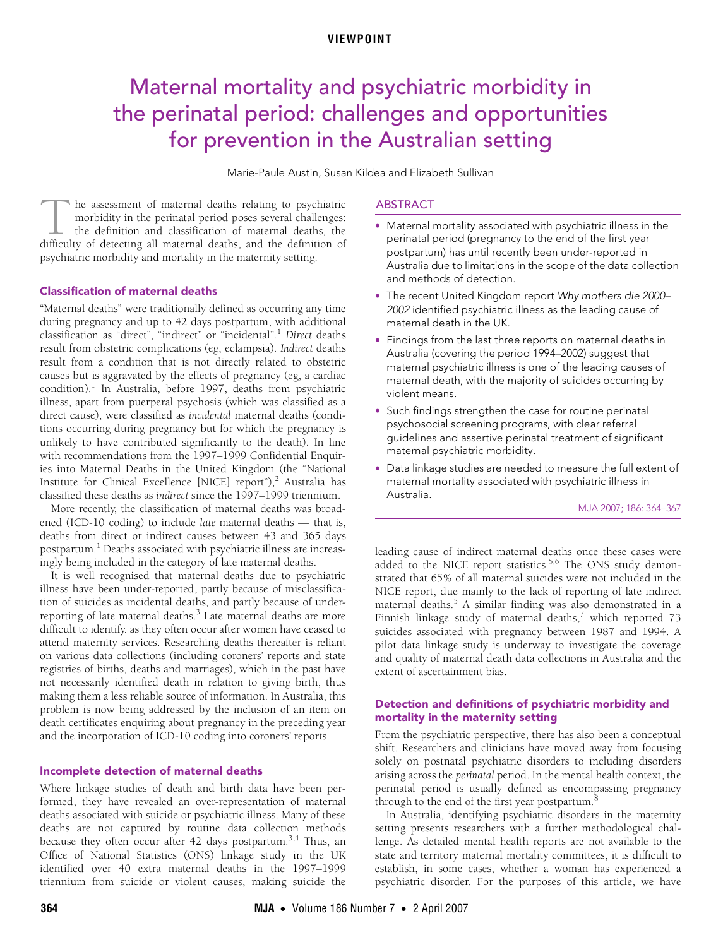# <span id="page-0-0"></span>Maternal mortality and psychiatric morbidity in the perinatal period: challenges and opportunities for prevention in the Australian setting

Marie-Paule Austin, Susan Kildea and Elizabeth Sullivan

he assessment of maternal deaths relating to psychiatric morbidity in the perinatal period poses several challenges: the definition and classification of maternal deaths, the The assessment of maternal deaths relating to psychiatric morbidity in the perinatal period poses several challenges:<br>the definition and classification of maternal deaths, the difficulty of detecting all maternal deaths, a psychiatric morbidity and mortality in the maternity setting.

# **Classification of maternal [de](#page-0-0)[aths](#page-3-0)**

 $T_1$  Medical Journal of Australia 2007 and Australia 2007 and Australia 2007 and Australia 2007 and Australia 2007 and Australia 2007 and Australia 2007 and Australia 2007 and Australia 2007 and Australia 2007 and Austra "Maternal deaths" were traditionally defined as occurring any time during pregnancy and up to 42 days postpartum, with additional classification as "direct", "indirect" or "incidental"*.* [1](#page-2-0) *Direct* deaths result from obstetric complications (eg, eclampsia). *Indirect* deaths result from a condition that is not directly related to obstetric causes but is aggravated by the effects of pregnancy (eg, a cardiac condition).<sup>1</sup> In Australia, before 1997, deaths from psychiatric illness, apart from puerperal psychosis (which was classified as a direct cause), were classified as *incidental* maternal deaths (conditions occurring during pregnancy but for which the pregnancy is unlikely to have contributed significantly to the death). In line with recommendations from the 1997–1999 Confidential Enquiries into Maternal Deaths in the United Kingdom (the "National Institute for Clinical Excellence [NICE] report"),<sup>[2](#page-2-1)</sup> Australia has classified these deaths as *indirect* since the 1997–1999 triennium.

More recently, the classification of maternal deaths was broadened (ICD-10 coding) to include *late* maternal deaths — that is, deaths from direct or indirect causes between 43 and 365 days postpartum.<sup>1</sup> Deaths associated with psychiatric illness are increasingly being included in the category of late maternal deaths.

It is well recognised that maternal deaths due to psychiatric illness have been under-reported, partly because of misclassification of suicides as incidental deaths, and partly because of under-reporting of late maternal deaths.<sup>[3](#page-2-2)</sup> Late maternal deaths are more difficult to identify, as they often occur after women have ceased to attend maternity services. Researching deaths thereafter is reliant on various data collections (including coroners' reports and state registries of births, deaths and marriages), which in the past have not necessarily identified death in relation to giving birth, thus making them a less reliable source of information. In Australia, this problem is now being addressed by the inclusion of an item on death certificates enquiring about pregnancy in the preceding year and the incorporation of ICD-10 coding into coroners' reports.

#### Incomplete detection of maternal deaths

Where linkage studies of death and birth data have been performed, they have revealed an over-representation of maternal deaths associated with suicide or psychiatric illness. Many of these deaths are not captured by routine data collection methods because they often occur after 42 days postpartum.<sup>[3](#page-2-2),[4](#page-2-3)</sup> Thus, an Office of National Statistics (ONS) linkage study in the UK identified over 40 extra maternal deaths in the 1997–1999 triennium from suicide or violent causes, making suicide the

### ABSTRACT

- Maternal mortality associated with psychiatric illness in the perinatal period (pregnancy to the end of the first year postpartum) has until recently been under-reported in Australia due to limitations in the scope of the data collection and methods of detection.
- The recent United Kingdom report Why mothers die 2000– 2002 identified psychiatric illness as the leading cause of maternal death in the UK.
- Findings from the last three reports on maternal deaths in Australia (covering the period 1994–2002) suggest that maternal psychiatric illness is one of the leading causes of maternal death, with the majority of suicides occurring by violent means.
- Such findings strengthen the case for routine perinatal psychosocial screening programs, with clear referral guidelines and assertive perinatal treatment of significant maternal psychiatric morbidity.
- Data linkage studies are needed to measure the full extent of maternal mortality associated with psychiatric illness in Australia.

MJA 2007; 186: 364–367

leading cause of indirect maternal deaths once these cases were added to the NICE report statistics.<sup>[5](#page-2-4),6</sup> The ONS study demonstrated that 65% of all maternal suicides were not included in the NICE report, due mainly to the lack of reporting of late indirect maternal deaths.[5](#page-2-4) A similar finding was also demonstrated in a Finnish linkage study of maternal deaths, $^7$  $^7$  which reported 73 suicides associated with pregnancy between 1987 and 1994. A pilot data linkage study is underway to investigate the coverage and quality of maternal death data collections in Australia and the extent of ascertainment bias.

# Detection and definitions of psychiatric morbidity and mortality in the maternity setting

From the psychiatric perspective, there has also been a conceptual shift. Researchers and clinicians have moved away from focusing solely on postnatal psychiatric disorders to including disorders arising across the *perinatal* period. In the mental health context, the perinatal period is usually defined as encompassing pregnancy through to the end of the first year postpartum. $^8$  $^8$ 

In Australia, identifying psychiatric disorders in the maternity setting presents researchers with a further methodological challenge. As detailed mental health reports are not available to the state and territory maternal mortality committees, it is difficult to establish, in some cases, whether a woman has experienced a psychiatric disorder. For the purposes of this article, we have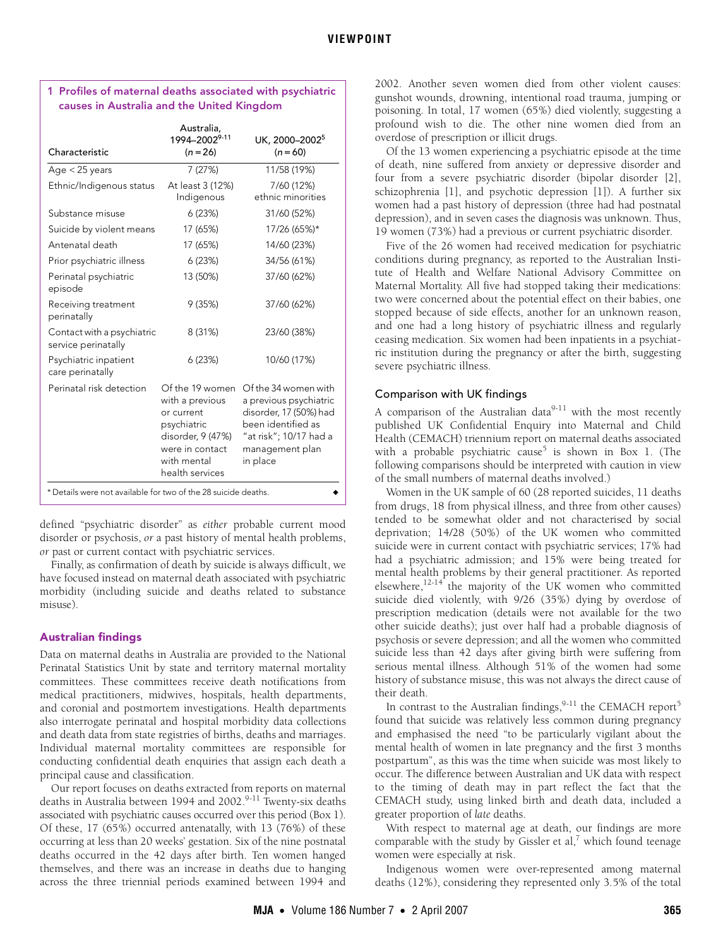| Characteristic                                                 | Australia,<br>1994–2002 <sup>9-11</sup><br>$(n = 26)$                                                                                     | UK, 2000-2002 <sup>5</sup><br>$(n = 60)$                                                                                                                |
|----------------------------------------------------------------|-------------------------------------------------------------------------------------------------------------------------------------------|---------------------------------------------------------------------------------------------------------------------------------------------------------|
| Age $<$ 25 years                                               | 7 (27%)                                                                                                                                   | 11/58 (19%)                                                                                                                                             |
| Ethnic/Indigenous status                                       | At least 3 (12%)<br>Indigenous                                                                                                            | 7/60 (12%)<br>ethnic minorities                                                                                                                         |
| Substance misuse                                               | 6 (23%)                                                                                                                                   | 31/60 (52%)                                                                                                                                             |
| Suicide by violent means                                       | 17 (65%)                                                                                                                                  | 17/26 (65%)*                                                                                                                                            |
| Antenatal death                                                | 17 (65%)                                                                                                                                  | 14/60 (23%)                                                                                                                                             |
| Prior psychiatric illness                                      | 6(23%)                                                                                                                                    | 34/56 (61%)                                                                                                                                             |
| Perinatal psychiatric<br>episode                               | 13 (50%)                                                                                                                                  | 37/60 (62%)                                                                                                                                             |
| Receiving treatment<br>perinatally                             | 9(35%)                                                                                                                                    | 37/60 (62%)                                                                                                                                             |
| Contact with a psychiatric<br>service perinatally              | 8 (31%)                                                                                                                                   | 23/60 (38%)                                                                                                                                             |
| Psychiatric inpatient<br>care perinatally                      | 6(23%)                                                                                                                                    | 10/60 (17%)                                                                                                                                             |
| Perinatal risk detection                                       | Of the 19 women<br>with a previous<br>or current<br>psychiatric<br>disorder, 9 (47%)<br>were in contact<br>with mental<br>health services | Of the 34 women with<br>a previous psychiatric<br>disorder, 17 (50%) had<br>been identified as<br>"at risk"; 10/17 had a<br>management plan<br>in place |
| * Details were not available for two of the 28 suicide deaths. |                                                                                                                                           |                                                                                                                                                         |

## <span id="page-1-0"></span>1 Profiles of maternal deaths associated with psychiatric causes in Australia and the United Kingdom

defined "psychiatric disorder" as *either* probable current mood disorder or psychosis, *or* a past history of mental health problems, *or* past or current contact with psychiatric services.

Finally, as confirmation of death by suicide is always difficult, we have focused instead on maternal death associated with psychiatric morbidity (including suicide and deaths related to substance misuse).

# Australian findings

Data on maternal deaths in Australia are provided to the National Perinatal Statistics Unit by state and territory maternal mortality committees. These committees receive death notifications from medical practitioners, midwives, hospitals, health departments, and coronial and postmortem investigations. Health departments also interrogate perinatal and hospital morbidity data collections and death data from state registries of births, deaths and marriages. Individual maternal mortality committees are responsible for conducting confidential death enquiries that assign each death a principal cause and classification.

Our report focuses on deaths extracted from reports on maternal deaths in Australia between 1[9](#page-3-1)94 and 2002.<sup>9-11</sup> Twenty-six deaths associated with psychiatric causes occurred over this period ([Box 1\)](#page-1-0). Of these, 17 (65%) occurred antenatally, with 13 (76%) of these occurring at less than 20 weeks' gestation. Six of the nine postnatal deaths occurred in the 42 days after birth. Ten women hanged themselves, and there was an increase in deaths due to hanging across the three triennial periods examined between 1994 and

2002. Another seven women died from other violent causes: gunshot wounds, drowning, intentional road trauma, jumping or poisoning. In total, 17 women (65%) died violently, suggesting a profound wish to die. The other nine women died from an overdose of prescription or illicit drugs.

Of the 13 women experiencing a psychiatric episode at the time of death, nine suffered from anxiety or depressive disorder and four from a severe psychiatric disorder (bipolar disorder [2], schizophrenia [1], and psychotic depression [1]). A further six women had a past history of depression (three had had postnatal depression), and in seven cases the diagnosis was unknown. Thus, 19 women (73%) had a previous or current psychiatric disorder.

Five of the 26 women had received medication for psychiatric conditions during pregnancy, as reported to the Australian Institute of Health and Welfare National Advisory Committee on Maternal Mortality. All five had stopped taking their medications: two were concerned about the potential effect on their babies, one stopped because of side effects, another for an unknown reason, and one had a long history of psychiatric illness and regularly ceasing medication. Six women had been inpatients in a psychiatric institution during the pregnancy or after the birth, suggesting severe psychiatric illness.

# Comparison with UK findings

A comparison of the Australian data $9-11$  $9-11$  with the most recently published UK Confidential Enquiry into Maternal and Child Health (CEMACH) triennium report on maternal deaths associated with a probable psychiatric cause<sup>[5](#page-2-4)</sup> is shown in [Box 1](#page-1-0). (The following comparisons should be interpreted with caution in view of the small numbers of maternal deaths involved.)

Women in the UK sample of 60 (28 reported suicides, 11 deaths from drugs, 18 from physical illness, and three from other causes) tended to be somewhat older and not characterised by social deprivation; 14/28 (50%) of the UK women who committed suicide were in current contact with psychiatric services; 17% had had a psychiatric admission; and 15% were being treated for mental health problems by their general practitioner. As reported elsewhere,<sup>12-14</sup> the majority of the UK women who committed suicide died violently, with 9/26 (35%) dying by overdose of prescription medication (details were not available for the two other suicide deaths); just over half had a probable diagnosis of psychosis or severe depression; and all the women who committed suicide less than 42 days after giving birth were suffering from serious mental illness. Although 51% of the women had some history of substance misuse, this was not always the direct cause of their death.

In contrast to the Australian findings,  $9-11$  $9-11$  the CEMACH report<sup>[5](#page-2-4)</sup> found that suicide was relatively less common during pregnancy and emphasised the need "to be particularly vigilant about the mental health of women in late pregnancy and the first 3 months postpartum", as this was the time when suicide was most likely to occur. The difference between Australian and UK data with respect to the timing of death may in part reflect the fact that the CEMACH study, using linked birth and death data, included a greater proportion of *late* deaths.

With respect to maternal age at death, our findings are more comparable with the study by Gissler et al, $^7$  which found teenage women were especially at risk.

Indigenous women were over-represented among maternal deaths (12%), considering they represented only 3.5% of the total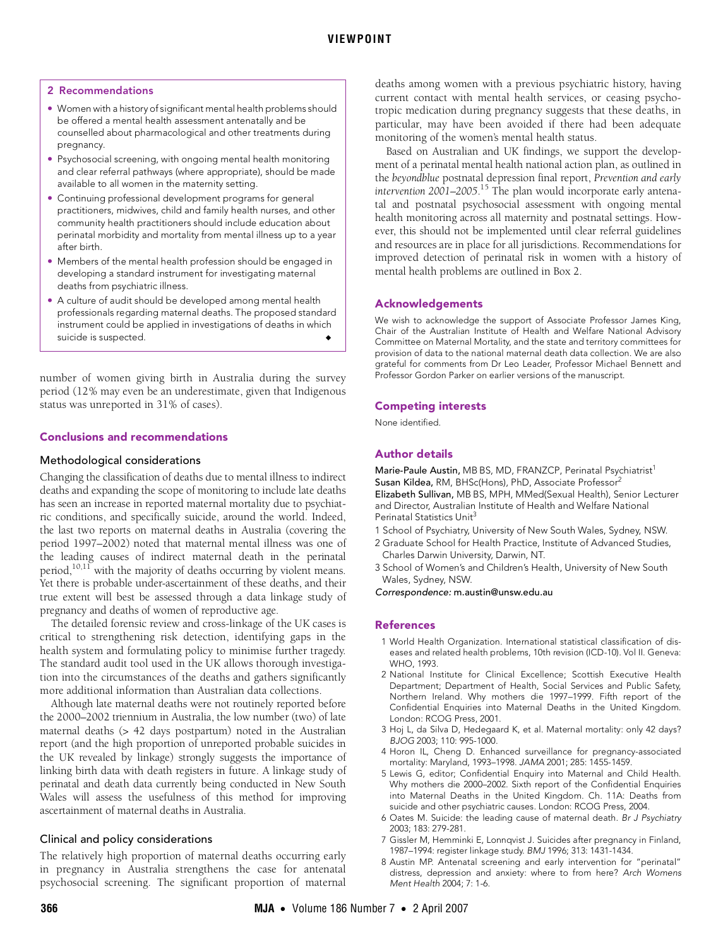## <span id="page-2-8"></span>2 Recommendations

- Women with a history of significant mental health problems should be offered a mental health assessment antenatally and be counselled about pharmacological and other treatments during pregnancy.
- Psychosocial screening, with ongoing mental health monitoring and clear referral pathways (where appropriate), should be made available to all women in the maternity setting.
- Continuing professional development programs for general practitioners, midwives, child and family health nurses, and other community health practitioners should include education about perinatal morbidity and mortality from mental illness up to a year after birth.
- Members of the mental health profession should be engaged in developing a standard instrument for investigating maternal deaths from psychiatric illness.
- A culture of audit should be developed among mental health professionals regarding maternal deaths. The proposed standard instrument could be applied in investigations of deaths in which suicide is suspected.

number of women giving birth in Australia during the survey period (12% may even be an underestimate, given that Indigenous status was unreported in 31% of cases).

#### Conclusions and recommendations

#### Methodological considerations

Changing the classification of deaths due to mental illness to indirect deaths and expanding the scope of monitoring to include late deaths has seen an increase in reported maternal mortality due to psychiatric conditions, and specifically suicide, around the world. Indeed, the last two reports on maternal deaths in Australia (covering the period 1997–2002) noted that maternal mental illness was one of the leading causes of indirect maternal death in the perinatal period, $10,11$  with the majority of deaths occurring by violent means. Yet there is probable under-ascertainment of these deaths, and their true extent will best be assessed through a data linkage study of pregnancy and deaths of women of reproductive age.

The detailed forensic review and cross-linkage of the UK cases is critical to strengthening risk detection, identifying gaps in the health system and formulating policy to minimise further tragedy. The standard audit tool used in the UK allows thorough investigation into the circumstances of the deaths and gathers significantly more additional information than Australian data collections.

Although late maternal deaths were not routinely reported before the 2000–2002 triennium in Australia, the low number (two) of late maternal deaths (> 42 days postpartum) noted in the Australian report (and the high proportion of unreported probable suicides in the UK revealed by linkage) strongly suggests the importance of linking birth data with death registers in future. A linkage study of perinatal and death data currently being conducted in New South Wales will assess the usefulness of this method for improving ascertainment of maternal deaths in Australia.

## Clinical and policy considerations

The relatively high proportion of maternal deaths occurring early in pregnancy in Australia strengthens the case for antenatal psychosocial screening. The significant proportion of maternal deaths among women with a previous psychiatric history, having current contact with mental health services, or ceasing psychotropic medication during pregnancy suggests that these deaths, in particular, may have been avoided if there had been adequate monitoring of the women's mental health status.

Based on Australian and UK findings, we support the development of a perinatal mental health national action plan, as outlined in the *beyondblue* postnatal depression final report, *Prevention and early intervention 2001–2005*. [15](#page-3-0) The plan would incorporate early antenatal and postnatal psychosocial assessment with ongoing mental health monitoring across all maternity and postnatal settings. However, this should not be implemented until clear referral guidelines and resources are in place for all jurisdictions. Recommendations for improved detection of perinatal risk in women with a history of mental health problems are outlined in [Box 2](#page-2-8).

#### Acknowledgements

We wish to acknowledge the support of Associate Professor James King, Chair of the Australian Institute of Health and Welfare National Advisory Committee on Maternal Mortality, and the state and territory committees for provision of data to the national maternal death data collection. We are also grateful for comments from Dr Leo Leader, Professor Michael Bennett and Professor Gordon Parker on earlier versions of the manuscript.

#### Competing interests

None identified.

# Author details

Marie-Paule Austin, MB BS, MD, FRANZCP, Perinatal Psychiatrist<sup>1</sup> Susan Kildea, RM, BHSc(Hons), PhD, Associate Professor<sup>2</sup> Elizabeth Sullivan, MB BS, MPH, MMed(Sexual Health), Senior Lecturer and Director, Australian Institute of Health and Welfare National Perinatal Statistics Unit<sup>3</sup>

- 1 School of Psychiatry, University of New South Wales, Sydney, NSW.
- 2 Graduate School for Health Practice, Institute of Advanced Studies, Charles Darwin University, Darwin, NT.
- 3 School of Women's and Children's Health, University of New South Wales, Sydney, NSW.

Correspondence: m.austin@unsw.edu.au

## References

- <span id="page-2-0"></span>1 World Health Organization. International statistical classification of diseases and related health problems, 10th revision (ICD-10). Vol II. Geneva: WHO, 1993.
- <span id="page-2-1"></span>2 National Institute for Clinical Excellence; Scottish Executive Health Department; Department of Health, Social Services and Public Safety, Northern Ireland. Why mothers die 1997–1999. Fifth report of the Confidential Enquiries into Maternal Deaths in the United Kingdom. London: RCOG Press, 2001.
- <span id="page-2-2"></span>3 Hoj L, da Silva D, Hedegaard K, et al. Maternal mortality: only 42 days? BJOG 2003; 110: 995-1000.
- <span id="page-2-3"></span>4 Horon IL, Cheng D. Enhanced surveillance for pregnancy-associated mortality: Maryland, 1993–1998. JAMA 2001; 285: 1455-1459.
- <span id="page-2-4"></span>5 Lewis G, editor; Confidential Enquiry into Maternal and Child Health. Why mothers die 2000–2002. Sixth report of the Confidential Enquiries into Maternal Deaths in the United Kingdom. Ch. 11A: Deaths from suicide and other psychiatric causes. London: RCOG Press, 2004.
- <span id="page-2-5"></span>6 Oates M. Suicide: the leading cause of maternal death. Br J Psychiatry 2003; 183: 279-281.
- <span id="page-2-6"></span>7 Gissler M, Hemminki E, Lonnqvist J. Suicides after pregnancy in Finland, 1987–1994: register linkage study. BMJ 1996; 313: 1431-1434.
- <span id="page-2-7"></span>8 Austin MP. Antenatal screening and early intervention for "perinatal" distress, depression and anxiety: where to from here? Arch Womens Ment Health 2004; 7: 1-6.